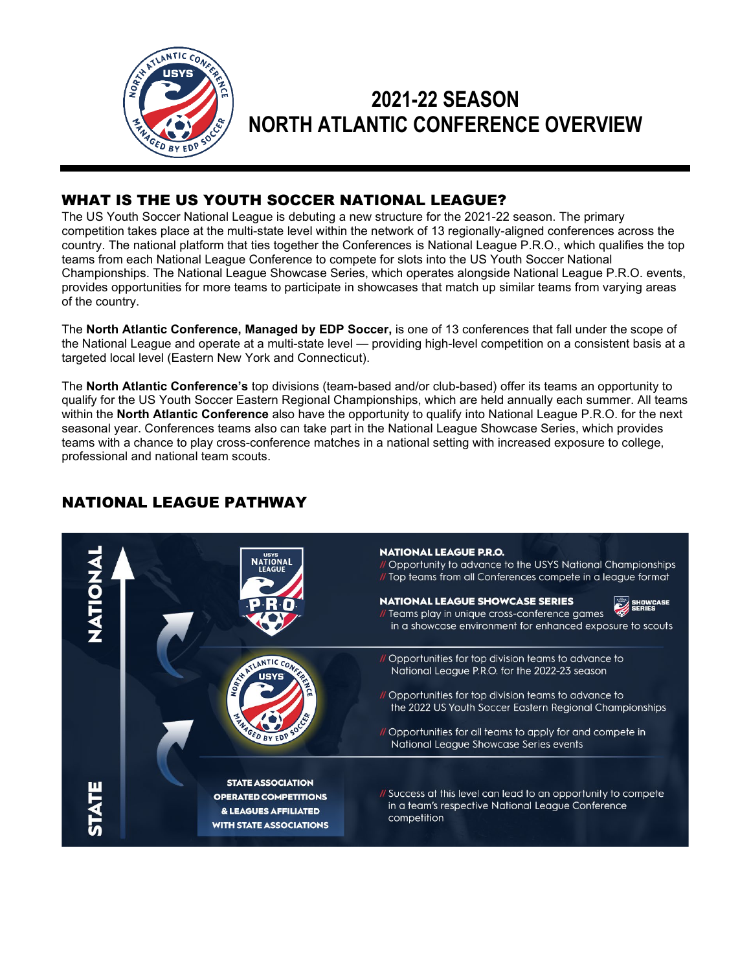

# **2021-22 SEASON NORTH ATLANTIC CONFERENCE OVERVIEW**

# WHAT IS THE US YOUTH SOCCER NATIONAL LEAGUE?

The US Youth Soccer National League is debuting a new structure for the 2021-22 season. The primary competition takes place at the multi-state level within the network of 13 regionally-aligned conferences across the country. The national platform that ties together the Conferences is National League P.R.O., which qualifies the top teams from each National League Conference to compete for slots into the US Youth Soccer National Championships. The National League Showcase Series, which operates alongside National League P.R.O. events, provides opportunities for more teams to participate in showcases that match up similar teams from varying areas of the country.

The **North Atlantic Conference, Managed by EDP Soccer,** is one of 13 conferences that fall under the scope of the National League and operate at a multi-state level — providing high-level competition on a consistent basis at a targeted local level (Eastern New York and Connecticut).

The **North Atlantic Conference's** top divisions (team-based and/or club-based) offer its teams an opportunity to qualify for the US Youth Soccer Eastern Regional Championships, which are held annually each summer. All teams within the **North Atlantic Conference** also have the opportunity to qualify into National League P.R.O. for the next seasonal year. Conferences teams also can take part in the National League Showcase Series, which provides teams with a chance to play cross-conference matches in a national setting with increased exposure to college, professional and national team scouts.

## NATIONAL LEAGUE PATHWAY

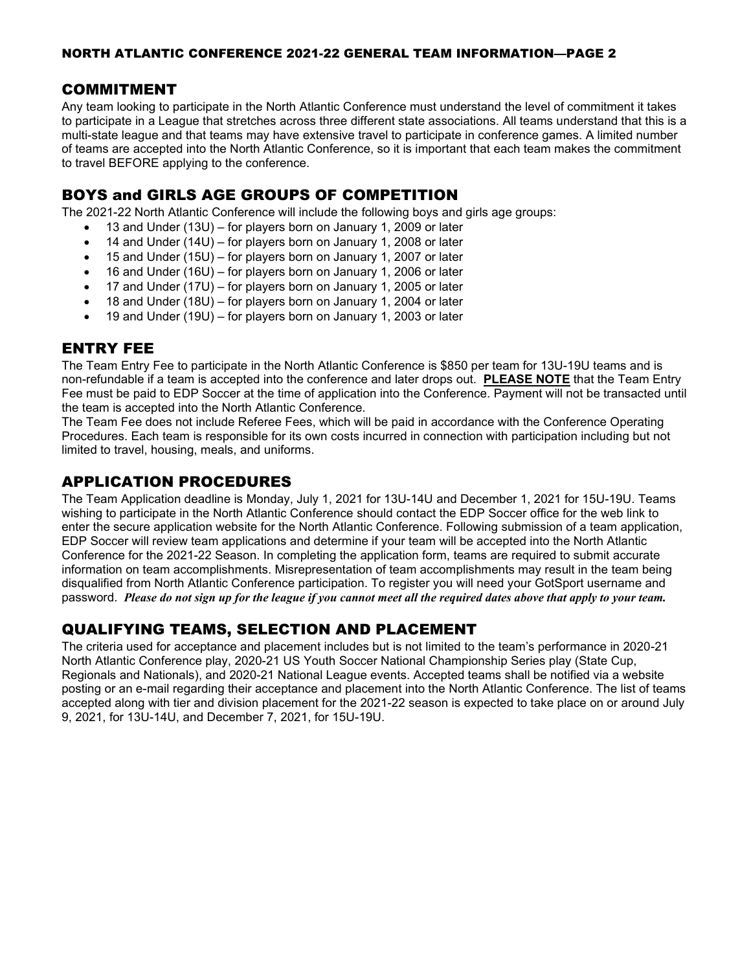#### COMMITMENT

Any team looking to participate in the North Atlantic Conference must understand the level of commitment it takes to participate in a League that stretches across three different state associations. All teams understand that this is a multi-state league and that teams may have extensive travel to participate in conference games. A limited number of teams are accepted into the North Atlantic Conference, so it is important that each team makes the commitment to travel BEFORE applying to the conference.

## BOYS and GIRLS AGE GROUPS OF COMPETITION

The 2021-22 North Atlantic Conference will include the following boys and girls age groups:

- 13 and Under (13U) for players born on January 1, 2009 or later
- 14 and Under (14U) for players born on January 1, 2008 or later
- 15 and Under (15U) for players born on January 1, 2007 or later
- 16 and Under (16U) for players born on January 1, 2006 or later
- 17 and Under (17U) for players born on January 1, 2005 or later
- 18 and Under (18U) for players born on January 1, 2004 or later
- 19 and Under (19U) for players born on January 1, 2003 or later

## ENTRY FEE

The Team Entry Fee to participate in the North Atlantic Conference is \$850 per team for 13U-19U teams and is non-refundable if a team is accepted into the conference and later drops out. **PLEASE NOTE** that the Team Entry Fee must be paid to EDP Soccer at the time of application into the Conference. Payment will not be transacted until the team is accepted into the North Atlantic Conference.

The Team Fee does not include Referee Fees, which will be paid in accordance with the Conference Operating Procedures. Each team is responsible for its own costs incurred in connection with participation including but not limited to travel, housing, meals, and uniforms.

## APPLICATION PROCEDURES

The Team Application deadline is Monday, July 1, 2021 for 13U-14U and December 1, 2021 for 15U-19U. Teams wishing to participate in the North Atlantic Conference should contact the EDP Soccer office for the web link to enter the secure application website for the North Atlantic Conference. Following submission of a team application, EDP Soccer will review team applications and determine if your team will be accepted into the North Atlantic Conference for the 2021-22 Season. In completing the application form, teams are required to submit accurate information on team accomplishments. Misrepresentation of team accomplishments may result in the team being disqualified from North Atlantic Conference participation. To register you will need your GotSport username and password. *Please do not sign up for the league if you cannot meet all the required dates above that apply to your team.*

## QUALIFYING TEAMS, SELECTION AND PLACEMENT

The criteria used for acceptance and placement includes but is not limited to the team's performance in 2020-21 North Atlantic Conference play, 2020-21 US Youth Soccer National Championship Series play (State Cup, Regionals and Nationals), and 2020-21 National League events. Accepted teams shall be notified via a website posting or an e-mail regarding their acceptance and placement into the North Atlantic Conference. The list of teams accepted along with tier and division placement for the 2021-22 season is expected to take place on or around July 9, 2021, for 13U-14U, and December 7, 2021, for 15U-19U.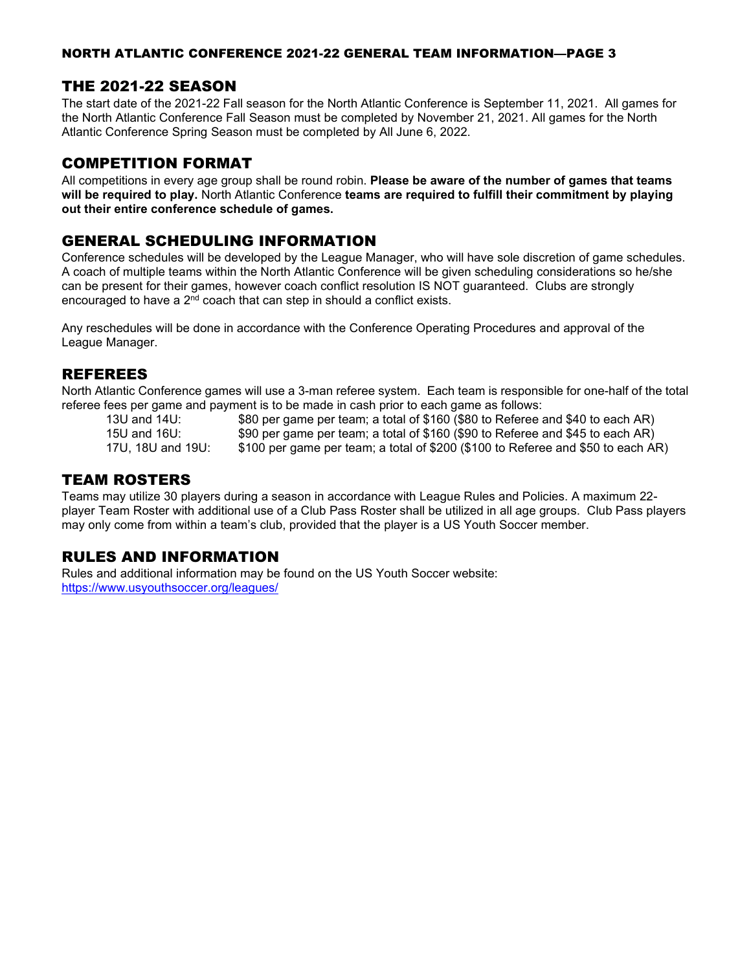#### NORTH ATLANTIC CONFERENCE 2021-22 GENERAL TEAM INFORMATION—PAGE 3

## THE 2021-22 SEASON

The start date of the 2021-22 Fall season for the North Atlantic Conference is September 11, 2021. All games for the North Atlantic Conference Fall Season must be completed by November 21, 2021. All games for the North Atlantic Conference Spring Season must be completed by All June 6, 2022.

#### COMPETITION FORMAT

All competitions in every age group shall be round robin. **Please be aware of the number of games that teams will be required to play.** North Atlantic Conference **teams are required to fulfill their commitment by playing out their entire conference schedule of games.** 

## GENERAL SCHEDULING INFORMATION

Conference schedules will be developed by the League Manager, who will have sole discretion of game schedules. A coach of multiple teams within the North Atlantic Conference will be given scheduling considerations so he/she can be present for their games, however coach conflict resolution IS NOT guaranteed. Clubs are strongly encouraged to have a  $2<sup>nd</sup>$  coach that can step in should a conflict exists.

Any reschedules will be done in accordance with the Conference Operating Procedures and approval of the League Manager.

#### REFEREES

North Atlantic Conference games will use a 3-man referee system. Each team is responsible for one-half of the total referee fees per game and payment is to be made in cash prior to each game as follows:<br>13U and 14U: \$80 per game per team: a total of \$160 (\$80 to Referee

\$80 per game per team; a total of  $$160$  (\$80 to Referee and \$40 to each AR) 15U and 16U: \$90 per game per team; a total of \$160 (\$90 to Referee and \$45 to each AR)

17U, 18U and 19U: \$100 per game per team; a total of \$200 (\$100 to Referee and \$50 to each AR)

#### TEAM ROSTERS

Teams may utilize 30 players during a season in accordance with League Rules and Policies. A maximum 22 player Team Roster with additional use of a Club Pass Roster shall be utilized in all age groups. Club Pass players may only come from within a team's club, provided that the player is a US Youth Soccer member.

## RULES AND INFORMATION

Rules and additional information may be found on the US Youth Soccer website: <https://www.usyouthsoccer.org/leagues/>